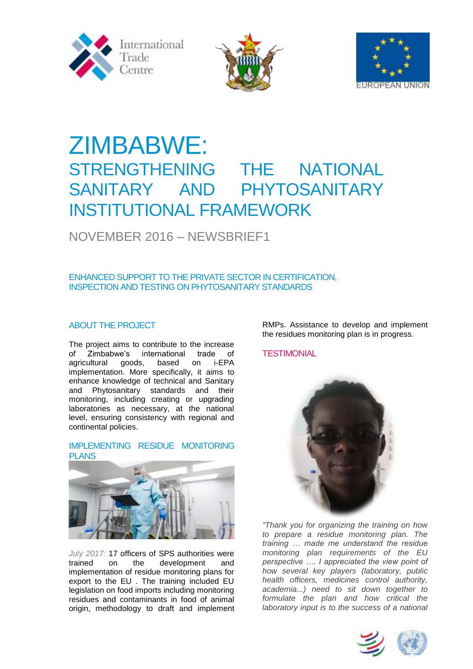





# ZIMBABWE: STRENGTHENING THE NATIONAL SANITARY AND PHYTOSANITARY INSTITUTIONAL FRAMEWORK

# NOVEMBER 2016 – NEWSBRIEF1

# ENHANCED SUPPORT TO THE PRIVATE SECTOR IN CERTIFICATION, INSPECTION AND TESTING ON PHYTOSANITARY STANDARDS

# ABOUT THE PROJECT

The project aims to contribute to the increase of Zimbabwe's international trade of agricultural goods, based on i-EPA implementation. More specifically, it aims to enhance knowledge of technical and Sanitary and Phytosanitary standards and their monitoring, including creating or upgrading laboratories as necessary, at the national level, ensuring consistency with regional and continental policies.

#### IMPLEMENTING RESIDUE MONITORING PLANS



*July 2017:* 17 officers of SPS authorities were trained on the development and implementation of residue monitoring plans for export to the EU . The training included EU legislation on food imports including monitoring residues and contaminants in food of animal origin, methodology to draft and implement

RMPs. Assistance to develop and implement the residues monitoring plan is in progress.

# **TESTIMONIAL**



*"Thank you for organizing the training on how to prepare a residue monitoring plan. The training … made me understand the residue monitoring plan requirements of the EU perspective …. I appreciated the view point of how several key players (laboratory, public health officers, medicines control authority, academia...) need to sit down together to formulate the plan and how critical the laboratory input is to the success of a national* 

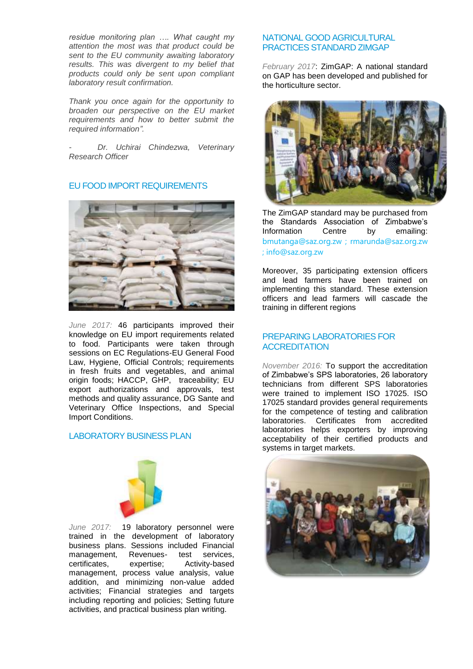*residue monitoring plan …. What caught my attention the most was that product could be sent to the EU community awaiting laboratory results. This was divergent to my belief that products could only be sent upon compliant laboratory result confirmation.*

*Thank you once again for the opportunity to broaden our perspective on the EU market requirements and how to better submit the required information".*

*- Dr. Uchirai Chindezwa, Veterinary Research Officer* 

## EU FOOD IMPORT REQUIREMENTS



*June 2017:* 46 participants improved their knowledge on EU import requirements related to food. Participants were taken through sessions on EC Regulations-EU General Food Law, Hygiene, Official Controls; requirements in fresh fruits and vegetables, and animal origin foods; HACCP, GHP, traceability; EU export authorizations and approvals, test methods and quality assurance, DG Sante and Veterinary Office Inspections, and Special Import Conditions.

#### LABORATORY BUSINESS PLAN



*June 2017:* 19 laboratory personnel were trained in the development of laboratory business plans. Sessions included Financial management, Revenues- test services,<br>certificates, expertise: Activity-based certificates, expertise; Activity-based management, process value analysis, value addition, and minimizing non-value added activities; Financial strategies and targets including reporting and policies; Setting future activities, and practical business plan writing.

#### NATIONAL GOOD AGRICULTURAL PRACTICES STANDARD ZIMGAP

*February 2017*: ZimGAP: A national standard on GAP has been developed and published for the horticulture sector.



The ZimGAP standard may be purchased from the Standards Association of Zimbabwe's Information Centre by emailing: bmutanga@saz.org.zw ; rmarunda@saz.org.zw ; info@saz.org.zw

Moreover, 35 participating extension officers and lead farmers have been trained on implementing this standard. These extension officers and lead farmers will cascade the training in different regions

### PREPARING LABORATORIES FOR **ACCREDITATION**

*November 2016:* To support the accreditation of Zimbabwe's SPS laboratories, 26 laboratory technicians from different SPS laboratories were trained to implement ISO 17025. ISO 17025 standard provides general requirements for the competence of testing and calibration laboratories. Certificates from accredited laboratories helps exporters by improving acceptability of their certified products and systems in target markets.